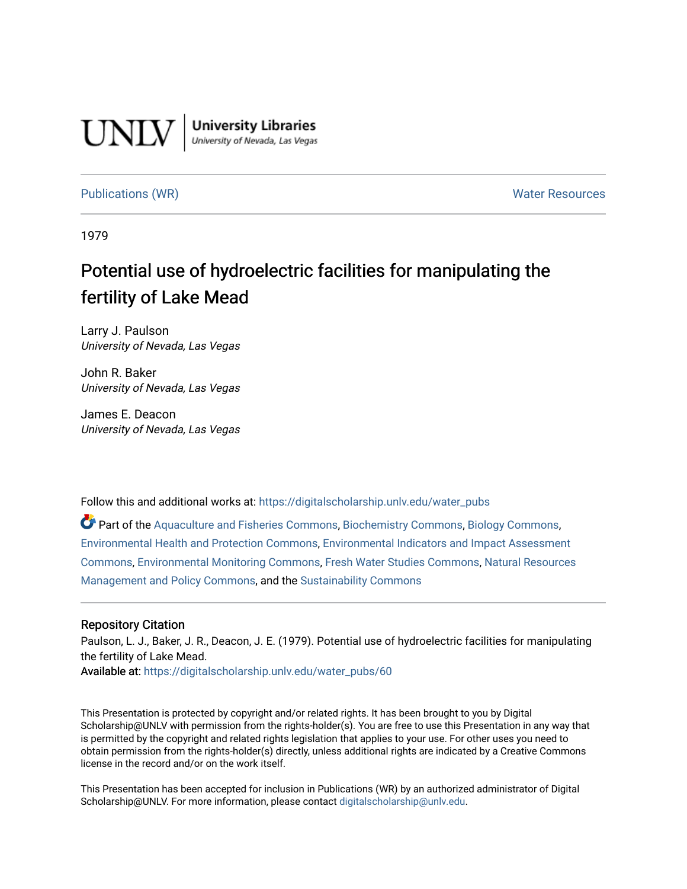

**University Libraries**<br>University of Nevada, Las Vegas

### [Publications \(WR\)](https://digitalscholarship.unlv.edu/water_pubs) Notifiable Resources and Mater Resources and Mater Resources

1979

## Potential use of hydroelectric facilities for manipulating the fertility of Lake Mead

Larry J. Paulson University of Nevada, Las Vegas

John R. Baker University of Nevada, Las Vegas

James E. Deacon University of Nevada, Las Vegas

Follow this and additional works at: [https://digitalscholarship.unlv.edu/water\\_pubs](https://digitalscholarship.unlv.edu/water_pubs?utm_source=digitalscholarship.unlv.edu%2Fwater_pubs%2F60&utm_medium=PDF&utm_campaign=PDFCoverPages) 

Part of the [Aquaculture and Fisheries Commons](http://network.bepress.com/hgg/discipline/78?utm_source=digitalscholarship.unlv.edu%2Fwater_pubs%2F60&utm_medium=PDF&utm_campaign=PDFCoverPages), [Biochemistry Commons,](http://network.bepress.com/hgg/discipline/2?utm_source=digitalscholarship.unlv.edu%2Fwater_pubs%2F60&utm_medium=PDF&utm_campaign=PDFCoverPages) [Biology Commons](http://network.bepress.com/hgg/discipline/41?utm_source=digitalscholarship.unlv.edu%2Fwater_pubs%2F60&utm_medium=PDF&utm_campaign=PDFCoverPages), [Environmental Health and Protection Commons](http://network.bepress.com/hgg/discipline/172?utm_source=digitalscholarship.unlv.edu%2Fwater_pubs%2F60&utm_medium=PDF&utm_campaign=PDFCoverPages), [Environmental Indicators and Impact Assessment](http://network.bepress.com/hgg/discipline/1015?utm_source=digitalscholarship.unlv.edu%2Fwater_pubs%2F60&utm_medium=PDF&utm_campaign=PDFCoverPages)  [Commons](http://network.bepress.com/hgg/discipline/1015?utm_source=digitalscholarship.unlv.edu%2Fwater_pubs%2F60&utm_medium=PDF&utm_campaign=PDFCoverPages), [Environmental Monitoring Commons,](http://network.bepress.com/hgg/discipline/931?utm_source=digitalscholarship.unlv.edu%2Fwater_pubs%2F60&utm_medium=PDF&utm_campaign=PDFCoverPages) [Fresh Water Studies Commons](http://network.bepress.com/hgg/discipline/189?utm_source=digitalscholarship.unlv.edu%2Fwater_pubs%2F60&utm_medium=PDF&utm_campaign=PDFCoverPages), [Natural Resources](http://network.bepress.com/hgg/discipline/170?utm_source=digitalscholarship.unlv.edu%2Fwater_pubs%2F60&utm_medium=PDF&utm_campaign=PDFCoverPages)  [Management and Policy Commons,](http://network.bepress.com/hgg/discipline/170?utm_source=digitalscholarship.unlv.edu%2Fwater_pubs%2F60&utm_medium=PDF&utm_campaign=PDFCoverPages) and the [Sustainability Commons](http://network.bepress.com/hgg/discipline/1031?utm_source=digitalscholarship.unlv.edu%2Fwater_pubs%2F60&utm_medium=PDF&utm_campaign=PDFCoverPages) 

### Repository Citation

Paulson, L. J., Baker, J. R., Deacon, J. E. (1979). Potential use of hydroelectric facilities for manipulating the fertility of Lake Mead.

Available at: [https://digitalscholarship.unlv.edu/water\\_pubs/60](https://digitalscholarship.unlv.edu/water_pubs/60) 

This Presentation is protected by copyright and/or related rights. It has been brought to you by Digital Scholarship@UNLV with permission from the rights-holder(s). You are free to use this Presentation in any way that is permitted by the copyright and related rights legislation that applies to your use. For other uses you need to obtain permission from the rights-holder(s) directly, unless additional rights are indicated by a Creative Commons license in the record and/or on the work itself.

This Presentation has been accepted for inclusion in Publications (WR) by an authorized administrator of Digital Scholarship@UNLV. For more information, please contact [digitalscholarship@unlv.edu.](mailto:digitalscholarship@unlv.edu)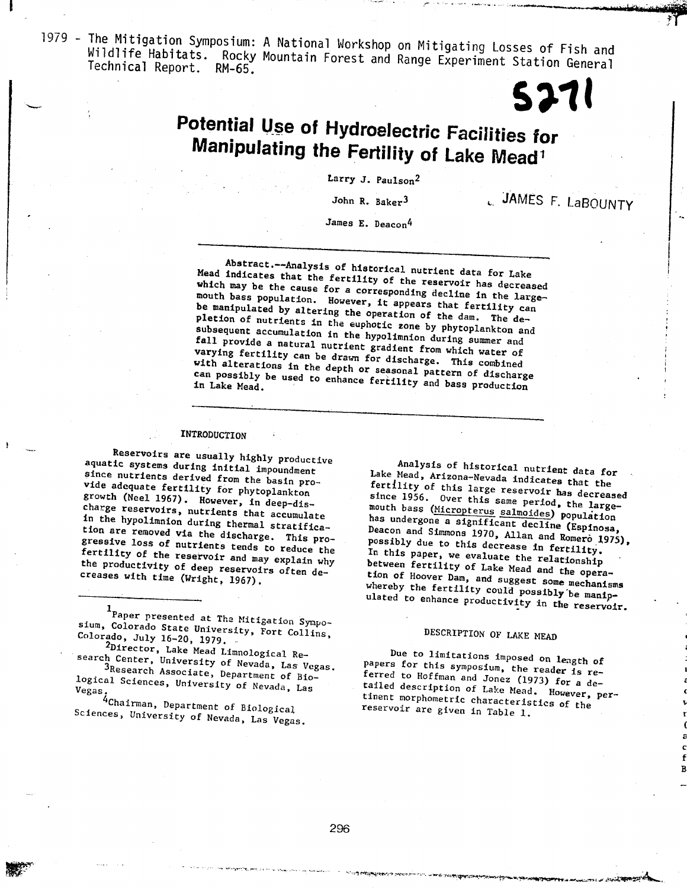$1070$  The Mitigation Symposium: A National Workshop on Mitigating Losses of  $\overline{L}$ Wildlife Mitigation Symposium: A National Workshop on Mitigating Losses of Fis Wildlife Habitats. Rocky Mountain Forest and Range Experiment Station General

## Potential Use of Hydroelectric Facilities for Manipulating the Fertility of LaCellitie Manipulating the Fertility of Lake Mead<sup>1</sup>

John R. BakerJ

John R. Baker<sup>3</sup>

L. JAMES F. LaBOUNTY

James E. Deacon<sup>4</sup>

Abstract.—Analysis of historical nutrient data for Lake

Mead in the fertility of the fertility of the fertility of the fertility of the fertility of the reservoir has decreased in the contract of the fertility of the fertility of the fertility of the fertility of the fertility mead indicates that the fertility of the recently in the largewhich may be the cause for a corresponding deal. which may be the cause for a corresponding decline in the large-<br>mouth bass population. However, it appears that fertility can be manipulated by altering the operation of the dam. The depletion of nutrients in the euphoric zone by the daw. In subsequent accumulation in the hypolitection during subsequent accumulation in the hypolimnion during summer and<br>fall provide a natural nutrient gradient from which water of varying fertility can be drawn for discharge. This combined with alterations in the depth or seasonal patterns compli can possi

### INTRODUCTION

Reservoirs are usually highly productive aquatic systems during initial impoundment since nutrients derived from the basin pro vide adoquate fertility from the basin growth (Neel 1967). He phytoplankt growth (Neel 1967). However, in deep-discharge reservoirs, nutrients that accumulate in the hypolimnion during thermal stratifica-<br>tion are removed via the discharge. This progressive loss of the discharge. This pr fertility of the nutrients tends to reduce t fertility of the reservoir and may explain why<br>the productivity of deep reservoirs often decreases with time (Wright, 1967).

Paper presented at Tha Mitigation Sympo sium, Colorado Sympation Colorado Sympation Colorado Sympation Colorado, J.J., 16-20, 1979. Colorado, July 16-20, 1979.<br><sup>2</sup>Director, Lake Mead Limnological Re-

search Center, University Limnological Re-

 $3R_{\text{B}}$  and  $4R_{\text{B}}$  are  $\frac{1}{2}$  and  $\frac{1}{2}$  are  $\frac{1}{2}$  and  $\frac{1}{2}$  are  $\frac{1}{2}$  are  $\frac{1}{2}$  and  $\frac{1}{2}$  are  $\frac{1}{2}$  are  $\frac{1}{2}$  are  $\frac{1}{2}$  are  $\frac{1}{2}$  are  $\frac{1}{2}$  are  $\frac{1}{2}$  are  $\frac{1}{2}$ 3Research Associate, Department of Bio-<br>logical Sciences, University of Nevada, Las  $V_{\text{202}}$  $^{4}C$ hairman, Department of Biological of Biological of Biological of Biological of Biological order of Biological order of Biological order of Biological order of Biological order order order order order order order ord

Sciences, University of Nevada, Las Vegas.

Analysis of historical nutrient data for Take Mood Anders with hardfullent data fo fertility of this large reservoir has decreased<br>since 1956. Over this same period, the large- $\frac{1}{2}$  farrility of the same periodic limit cannot the largemouth has  $\mu$  and  $\mu$  and  $\mu$  and  $\mu$  are mouth has  $\mu$ has undergone a significant decline (Espinosa, Deacon and Simmons 1970, Allan and Romero 1975), has undergraphy control Samuolues) population Dossibly due to relative the relationship and Romer In this paper ..... accrease in fertility, hetween formilier of Transace the relationship tion of Hoover Dam, and suggest some mechanisms<br>whereby the fertility could possibly be manip- $\frac{1}{2}$  fion of Hoorem possible possible possible possible possible possible possible possible possible possible possible possible possible possible possible possible possible possible possible possible possible possibl ulated to enhance productivity in the reservoir.

### DESCRIPTION OF LAKE MEAD

Due to limitations imposed on length of papers for this symposium, the reader is re $f$ arred to  $\eta_{\text{eff}}$  of  $\eta_{\text{eff}}$ , the reader is rereserve in the secret of the Mead. However, per-<br>tinent morphometric characteristics of the tailed dogentatic characteristics of the theories of the theories of the theories of the theories of the theories of the theories of the theories of the theories of the theories of the theories of the theories of the theo reservoir are given in Table 1.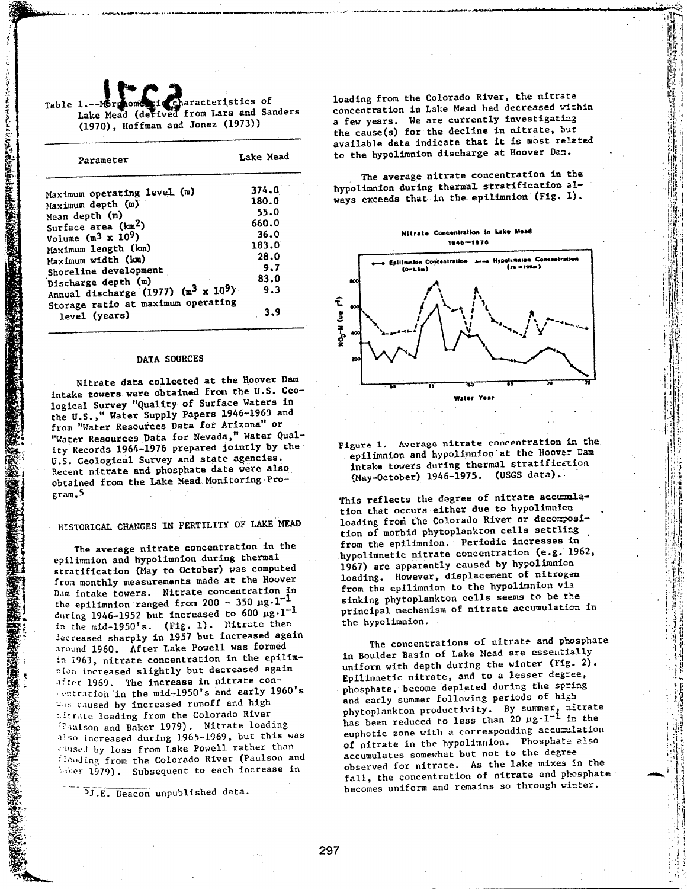| Table 1.--Normonic in Characteristics of<br>Lake Mead (derived from Lara and Sanders |  |  |  |
|--------------------------------------------------------------------------------------|--|--|--|
| (1970), Hoffman and Jonez (1973))                                                    |  |  |  |

A PARTICIPAL AND A PARTICULAR PRODUCTION

STAR SHARES AND STARTED

| Parameter                                                                                                                                                                                                                                                                                                                              | Lake Mead                                                                             |  |  |
|----------------------------------------------------------------------------------------------------------------------------------------------------------------------------------------------------------------------------------------------------------------------------------------------------------------------------------------|---------------------------------------------------------------------------------------|--|--|
| Maximum operating level (m)<br>Maximum depth (m)<br>Mean depth (m)<br>Surface area (km <sup>2</sup> )<br>Volume $(m^3 \times 10^9)$<br>Maximum length (km)<br>Maximum width (km)<br>Shoreline development<br>Discharge depth (m)<br>Annual discharge (1977) $(m^3 \times 10^9)$<br>Storage ratio at maximum operating<br>level (years) | 374.0<br>180.0<br>55.0<br>660.0<br>36.0<br>183.0<br>28.0<br>9.7<br>83.0<br>9.3<br>3.9 |  |  |

### DATA SOURCES DATA SOURCES

Nitrate data collected at the Hoover Dam

Nitrate data collected at the Hoover Dam intake towers were obtained from the U.S. Geological Survey "Quality of Surface Waters in the U.S.," Water Supply Papers 1946-1963 and from "Water Resources Data for Arizona" or "Water Resources Data for Nevada," Water Quality Records 1964-1976 prepared jointly by the U.S. Geological Survey and state agencies. Recent nitrate and phosphate data were also obtained from the Lake Mead Monitoring Program.5

## HISTORICAL CHANGES IN FERTILITY OF LAKE MEAD

The average nitrate concentration in the The average nitrate concentration i epilimnion and hypolimnion during thermal stratification (May to October) was computed from monthly measurements made at the Hoover Dam intake towers. Nitrate concentration in the epilimnion ranged from  $200 - 350 \mu g \cdot l^{-1}$ during 1946-1952 but increased to 600  $\mu g \cdot 1^{-1}$ . in the mid-1950's. (Fig. 1). Nitrate then decreased sharply in 1957 but increased again around 1960. After Lake Powell was formed in 1963, nitrate concentration in the epilimnion increased slightly but decreased again after 1969. The increase in nitrate con-"entration in the mid-1950's and early 1960's Wis caused by increased runoff and high titrate loading from the Colorado River (Paulson and Baker 1979). Nitrate loading also increased during 1965-1969, but this was caused by loss from Lake Powell rather than Heading from the Colorado River (Paulson and Waker 1979). Subsequent to each increase in

<sup>5</sup>J.E. Deacon unpublished data.

loading from the Colorado River, the nitrate concentration in Lake Mead had decreased vithin a few years. We are currently investigating the cause(s) for the decline in nitrate, but available data indicate that it is most related to the hypolimnion discharge at Hoover Dan.

The average nitrate concentration in the hypolimnion during thermal stratification always exceeds that in the epilimnion (Fig. 1).

**Nitrate Concentration in Lake Mead** 1946-1976



Figure 1.—Average nitrate concentration in the epilimnion and hypolimnion'at the Hoover Dam intake towers during thermal stratification, (May-October) 1946-1975. (USGS data).

This reflects the degree of nitrate accumulation that occurs either due to hypolimnice loading from the Colorado River or decomposition of morbid phytoplankton cells settling from the epilimnion. Periodic increases in hypolimnetic nitrate concentration (e.g. 1962, 1967) are apparently caused by hypolimnioa loading. However, displacement of nitrogen from the epilimnion to the hypolimnion via sinking phytoplankton cells seems to be the principal mechanism of nitrate accumulation principal meet

The concentrations of nitrate and phosphate in Boulder Basin of Lake Mead are essentially uniform with depth during the winter (Fig. 2). Epilimnetic nitrate, and to a lesser degree, phosphate, become depleted during the spring and early summer following periods of high phytoplankton productivity. By summer, nitrate has been reduced to less than  $20 \mu g \cdot 1^{-1}$  in the euphotic zone with a corresponding accumulation of nitrate in the hypolimnion. Phosphate also accumulates somewhat but not to the degree observed for nitrate. As the lake mixes In the fall, the concentration of nitrate and phosphate becomes uniform and remains so through winter.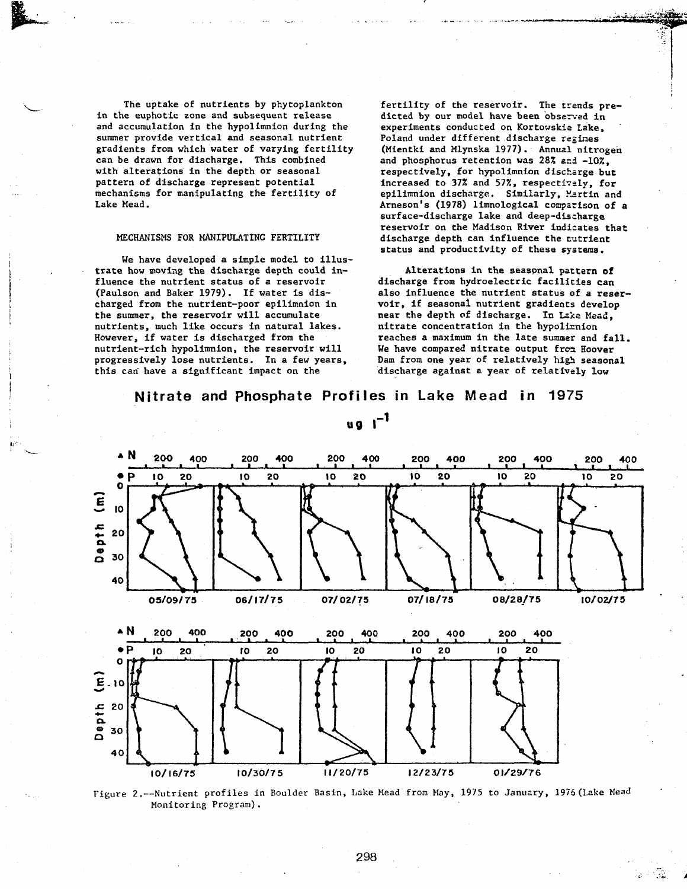The uptake of nutrients by phytoplankton in the euphotic zone and subsequent release and accumulation in the hypolimnion during the summer provide vertical and seasonal nutrient gradients from which water of varying fertility can be drawn for discharge. This combined with alterations in the depth or seasonal pattern of discharge represent potential mechanisms for manipulating the fertility of Lake Mead.

### MECHANISMS FOR MANIPULATING FERTILITY

We have developed a simple model to illustrate how moving the discharge depth could in fluence the nutrient status of a reservoir (Paulson and Baker 1979). If water is dis charged from the nutrient-poor epilimnion in the summer, the reservoir will accumulate nutrients, much like occurs in natural lakes. However, if water is discharged from the nutrient-rich hypolimnion, the reservoir will progressively lose nutrients. In a few years, this can have a significant impact on the

fertility of the reservoir. The trends pre dicted by our model have been observed in experiments conducted on Kortowskia Lake, Poland under different discharge regimes (Mientki and Mlynska 1977). Annual nitrogen and phosphorus retention was 28% and -10%, respectively, for hypolimnion discharge but increased to 37% and 57%, respectively, for epilimnion discharge. Similarly, Martin and Arneson's (1978) limnological comparison of a surface-discharge lake and deep-discharge reservoir on the Madison River indicates that discharge depth can influence the rutrient status and productivity of these systems.

Alterations in the seasonal pattern of discharge from hydroelectric facilities can also influence the nutrient status of a reser voir, if seasonal nutrient gradients develop near the depth of discharge. In Lake Mead, nitrate concentration in the hypolimion reaches a maximum in the late summer and fall. We have compared nitrate output from Hoover Dam from one year of relatively high seasonal discharge against a year of relatively low

### Nitrate and Phosphate Profiles in Lake Mead **in** 1975



 $\mathbf{u}$ **g**  $\mathbf{I}^{-1}$ 

Figure 2.—Nutrient profiles in Boulder Basin, Lake Mead from May, 1975 to January, 1976(Lake Mead Monitoring Program).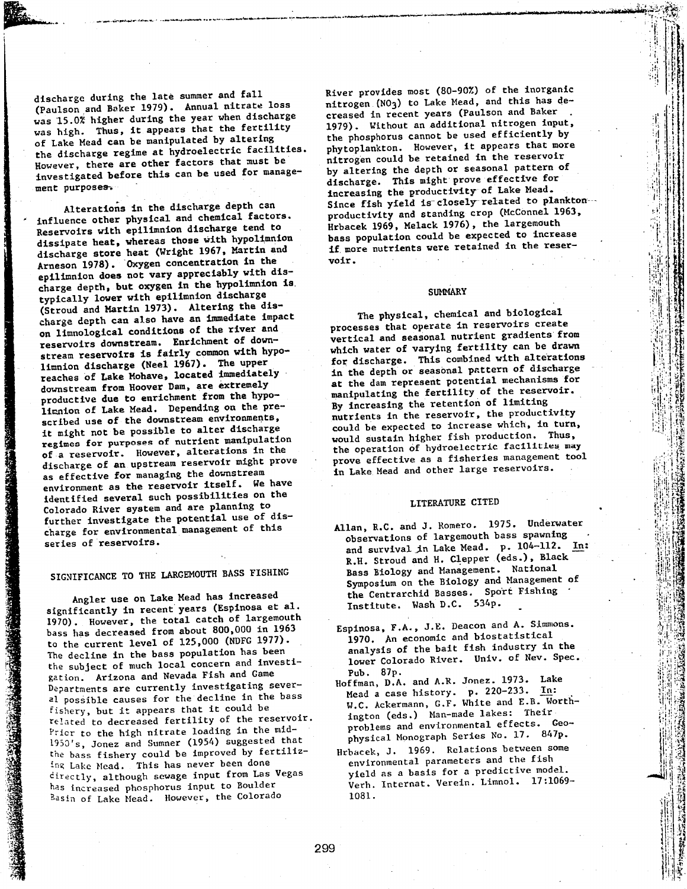Hischarge during the late summer and fall (Paulson and Baker 1979). Annual nitrate loss was 15.0% higher during the year when discharged was high. Thus, it appears that the fertil of Lake Mead can be manipulated by altering the discharge regime at hydroelectric facilities. However, there are other factors that must be investigated before this can be used for manage-

n the discharg e dept

h can

Alterations i

TA KANADARA BUTAN TARA KANADA

Alterations in the discharge depth can influence other physical and chemical ractor Reservoirs with epilimnion discharge tend to dissipate heat, whereas those with hypolimni discharge store heat (Wright 1967, Martin Arneson 1978). Oxygen concentration in the epilimnion does not vary appreciably with discharge depth, but oxygen in the hypolimn typically lower with epilimnion discharge (Stroud and Martin 1973). Altering the discharge depth can also have an immediate impact on limnological conditions of the river and reservoirs downstream. Enrichment of downstream reservoirs is fairly common with  $l$ imnion discharge (Neel 1967). The upper reaches of Lake Mohave, located immediate downstream from Hoover Dam, are extremely nroductive due to enrichment from the hypoitration of Lake Mead. Depending on the pi scribed use of the downstream environments, it might not be possible to alter discharge regimes for purposes of nutrient manipulat: of a reservoir. However, alterations in the discharge of an upstream reservoir might as effective for managing the downstream environment as the reservoir itself. We have identified several such possibilities on the Colorado River system and are planning to further investigate the potential use of charge for environmental management of this series of reservoirs.

Angler use on Lake Mead has increased significantly in recent years (Espinosa et a 1970), However, the total catch of largeme bass has decreased from about 800,000 in 1963 to the current level of 125,000 (NDFG 197 The decline in the bass population has been the subject of much local concern and i gation, Arizona and Nevada Fish and Game Departments are currently investigating sever al possible causes for the decline in fishery, but it appears that it could be related to decreased fertility of the rese Prier to the high nitrate loading in the mi  $1950$ 's, Jonez and Sumner (1954) suggested th line hass fishery could be improved by ing Lake Mead. This has never been done directly, although sewage input from L has increased phosphorus input to Boulder<br>Basin of Lake Mead. However, the Colorado

River provides most (80-90%) of the inorganic niver provides most (or yon) to the most nicrogen (noz) to have nearly the these compara-1979). Without an additional nitroge n input,  $t_{\text{total}}$ , whence annot be used efficiently by phytoplankton. However, it appears that more phytopiauston. Nowthere we have reservoil puttogen court be received on the pattern of by altering the depth of stations (prove for gischarge. This might prove the wead. Increasing the groundering.... proce fibir yield to crossely from McConnel 1963 Hrbace k 1969, Melac k 1976), the largemout h nivates 1909; include 2000/9 2000 pass population could be experienced. It more untrreated were received and

:| i{' '(•

if

### **SUMMARY**

The physical, chemical and biological processes the processes that conceate in receptoirs creat vertical and seasonal nutrient gradients from yercrear and seasonds necessary of the draw fo mich water of varying continues, in the department of discharge in the contrary In the depth of seasonds present at the dam represent potential means manipurating the returns of limiting by increasing the recenter of the productivit nutrients in the reservoir, and the state of the state which, in turn could be expected to merical would sustain insuration process. prove effective as a fisheries management tool prove effective as a frontier man of

### LITERATURE CITE D

- Allan, R.C. and J. Romero. 1975. Underwater allan, a.v. and v. homorever where spawni and survival distribution of the Mead. p. 104-112.  $\frac{R}{L}$ Bass Biology and Management. National pass biology and management. plands change the Centrarchid Basses. Sport Fishing The Central City Dassoo.
- $E = \frac{1}{2}$   $\pi A$ ,  $\pi B$  Descons and A. Simmons.  $L$ spinosa,  $F(n)$ , o.g.  $D$ choticalistic 1970, An economic due presente analysis of the part age. Entry of Nev. Spec. Public St
- $\mu$ Bohan, D.A. and A.R. Jonez. 1973. La Mea Mead a case history. p. 220-233. In:  $\frac{1}{2}$  and  $\frac{1}{2}$  and  $\frac{1}{2}$  and  $\frac{1}{2}$  and  $\frac{1}{2}$  and  $\frac{1}{2}$  and  $\frac{1}{2}$  B. Worthw.C. ACKELBARD, OUT mess and The ington (eds.) Man-made lakes: Their<br>problems and environmental effects. Geopropress and environmental series 84
- metal in the some problems between some  $HTPACEK$ ,  $J. IJOJ. REEQZOPE = 100$ environmental parameters and the model  $Y = \begin{bmatrix} 1 & 1 & 1 \\ 1 & 1 & 1 \\ 1 & 1 & 1 \end{bmatrix}$  $v_{\rm e}$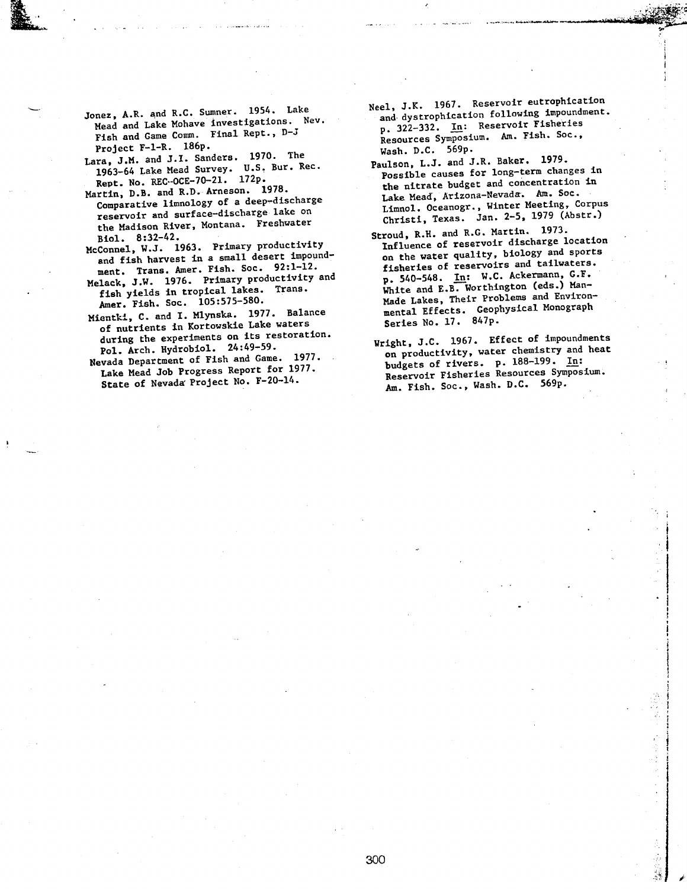- Jonez, A.R. and R.C. Sumner. 1954. Lake Mead and Lake Mohave investigations. Nev. Fish and Game Comm. Final Rept., D-J Project F-1-R.  $186p.$
- Lara, J.M. and J.I. Sanders. 1970. The 1963-64 Lake Mead Survey. U.S. Bur. Rec. Rept. No. REC-OCE-70-21. 172p.
- Martin, D.B. and R.D. Arneson. 1978. Comparative limnology of a deep-discharge reservoir and surface-discharge lake on  $\mathbf{B}$   $\mathbf{B}$   $\mathbf{B}$   $\mathbf{B}$   $\mathbf{B}$   $\mathbf{B}$   $\mathbf{B}$  $M_{\odot}$  1963. Primary productivity productivity productivity productivity productivity productivity productivity productivity productivity productivity productivity productivity productivity productivity productivity pro
- Biol. 8:32-42.<br>McConnel, W.J. 1963. Primary productivity and fish harvest in a small desert impoundment. Trans. Amer. Fish. Soc. 92:1-12.
- Melack, J.W. 1976. Primary productivity and fish yields in tropical lakes. Trans. Amer. Fish. Soc. 105:575-580.
- Mientki, C. and I. Mlynska. 1977. Balance of nutrients in Kortowskie Lake waters during the experiments on its restoration. Pol. Arch. Hydrobiol. 24:49-59.
- Nevada Department of Fish and Game. 1977. Lake Mead Job Progress Report for 1977. State of Nevada Project No. F-20-14.

Neel, J.K. 1967. Reservoir eutrophication and discrement in the dynamics of the dynamics impoundment. and dystrophication formals Fisherie p. 322-332. In: Reservoir Fisheries Resources Symposium. Am. Fish. Soc.,<br>Wash. D.C. 569p.

 $1.11$ 

- Paulson, L.J. and J.R. Baker. 1979. Possible causes for long-term changes in the nitrate budget and concentration in Lake Mead, Arizona-Nevada. Am. Soc. Lake nead, At Long Network Ten.  $L1$ mnol.  $U$ Ceanogr.,  $T_{\text{cav}}$   $2.5$ , 1979 (Abstr.) Christi, Texas. Jan. 2-5, 1979 (Abstr.)<br>Stroud, R.H. and R.G. Martin. 1973.
- Influence of reservoir discharge location Influence of reservoir exercise on the water quality; where of restors. fisheries of reservoirs and tailwaters.<br>p. 540-548. In: W.C. Ackermann, G.F. White and E.B. Worthington (eds.) Man- Made Lakes, Their Problems and Environ- Made Lakes, inclu recording the Monography mental Effects. Se
- $V = \frac{1}{2}$  and  $\frac{1}{2}$  in  $\frac{1}{2}$  if  $\frac{1}{2}$  is  $\frac{1}{2}$  if  $\frac{1}{2}$  is  $\frac{1}{2}$  if  $\frac{1}{2}$  is  $\frac{1}{2}$  if  $\frac{1}{2}$  is  $\frac{1}{2}$  if  $\frac{1}{2}$  is  $\frac{1}{2}$  if  $\frac{1}{2}$  if  $\frac{1}{2}$  is  $\frac{1}{2}$  if  $\frac{1}{2}$   $\arg{nt}$ ,  $\lim_{n \to \infty}$   $\lim_{n \to \infty}$  and heat on productivity, water chemistry and heat<br>budgets of rivers. p. 188-199. In: Reservoir Fisheries Resources Symposium. Am. Fish. Soc., Wash. D.C. 569p.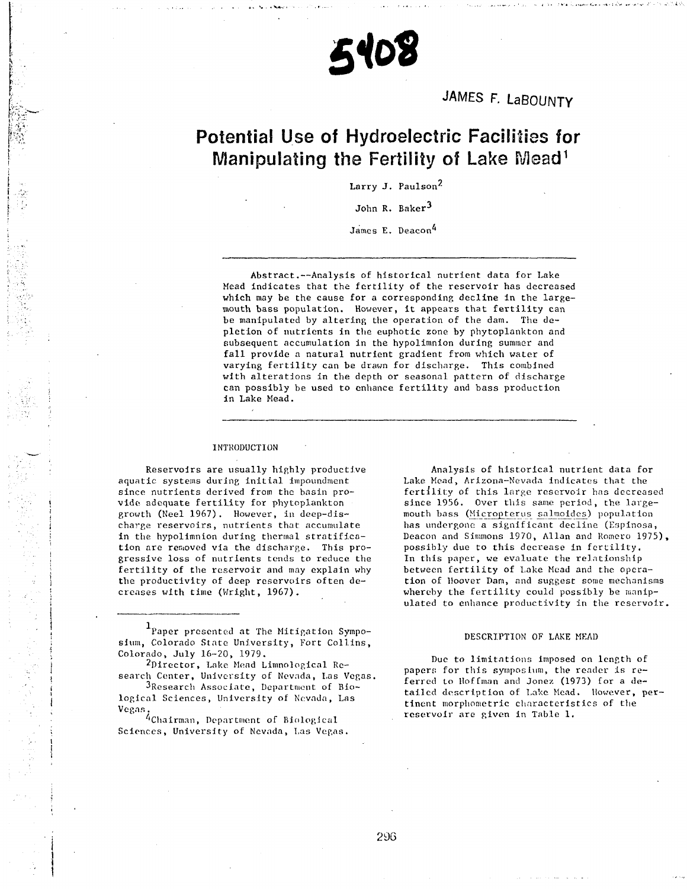# 5408

JAMES F. LaBOUNTY

## Potential Use of Hydroelectric Facilities for Manipulating the Fertility of Lake Mead<sup>1</sup>

 $\gamma$ 

John R. Baker<sup>3</sup>

James E. Deacon<sup>4</sup>

Abstract.—Analysis of historical nutrient data for Lake Mead indicates that the fertility of the reservoir has decreased which may be the cause for a corresponding decline in the large mouth bass population. However, it appears that fertility can be manipulated by altering the operation of the dam. The de pletion of nutrients in the euphotic zone by phytoplankton and subsequent accumulation in the hypolimnion during summer and fall provide a natural nutrient gradient from which water of varying fertility can be drawn for discharge. This combined with alterations in the depth or seasonal pattern of discharge can possibly be used to enhance fertility and bass production in Lake Mead.

### INTRODUCTION

Reservoirs are usually highly productive aquatic systems during initial impoundment since nutrients derived from the basin pro vide adequate fertility for phytoplankton growth (Keel 1967). However, in deep-dis charge reservoirs, nutrients that accumulate in the hypolimnion during thermal stratifica tion are removed via the discharge. This pro gressive loss of nutrients tends to reduce the fertility of the reservoir and may explain why the productivity of deep reservoirs often de creases with time (Wright, 1967).

Analysis of historical nutrient data for Lake Mead, Arizona-Nevada indicates that the fertility of this large reservoir has decreased since 1956. Over this same period, the large mouth bass (Micropterus salmoidcs) population has undergone a significant decline (Espinosa, Deacon and Simmons 1970, Allan and Romero 1975), possibly due to this decrease in fertility. In this paper, we evaluate the relationship between fertility of Lake Mead and the opera tion of Hoover Dam, and suggest some mechanisms whereby the fertility could possibly be manip ulated to enhance productivity in the reservoir.

### DESCRIPTION OF LAKE MEAD

Due to limitations imposed on length of papers for this symposium, the reader is re ferred to Hoffman and Jonez (1973) for a de tailed description of Lake Mead. However, per tinent morphometric characteristics of the reservoir are given in Table 1.

<sup>&</sup>lt;sup>1</sup>Paper presented at The Mitigation Symposium, Colorado State University, Fort Collins, Colorado, July 16-20, 1979.

<sup>^</sup>Director, Lake Mend Limnological Re search Center, University of Nevada, Las Vegas.

<sup>3</sup>Research Associate, Department of Biological Sciences, University of Nevada, Las Vegas.

<sup>&#</sup>x27;Chairman, Department of Biological Sciences, University of Nevada, Las Vegas.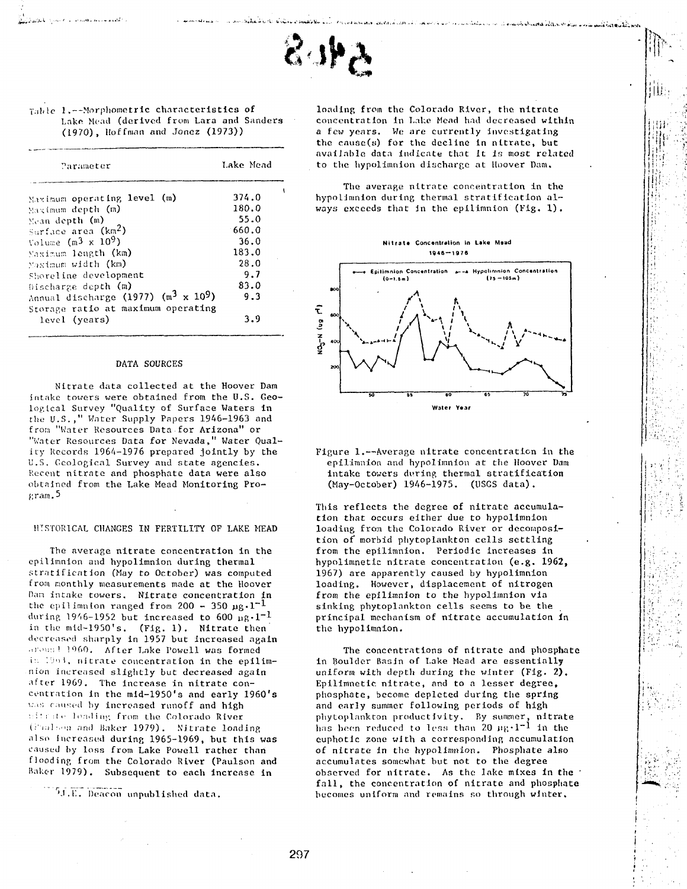

### 1.--Morphometric characteristics of Lake Mead (derived from Lara and Sanders (1970), Hoffman and Jonez (1973))

| Parameter                                                   | Lake Mead |  |  |
|-------------------------------------------------------------|-----------|--|--|
| Maximum operating level (m)                                 | 374.0     |  |  |
| Maximum depth (m)                                           | 180.0     |  |  |
| Mean depth (m)                                              | 55.0      |  |  |
| Surface area $(km2)$                                        | 660.0     |  |  |
| Volume $(m^3 \times 10^9)$                                  | 36.0      |  |  |
| Maximum length (km)                                         | 183.0     |  |  |
| Maximum width (km)                                          | 28.0      |  |  |
| Shoreline development                                       | 9.7       |  |  |
| Discharge depth $(m)$                                       | 83.0      |  |  |
| Annual discharge (1977) (m <sup>3</sup> x 10 <sup>9</sup> ) | 9.3       |  |  |
| Storage ratio at maximum operating                          |           |  |  |
| level (years)                                               | 3.9       |  |  |

### DATA SOURCES

Nitrate data collected at the Hoover Dam intake towers were obtained from the U.S. Geo logical Survey "Quality of Surface Waters in the U.S.," Water Supply Papers 1946-1963 and from "Water Resources Data for Arizona" or "Water Resources Data for Nevada," Water Qual ify Records 1964-1976 prepared jointly by the U.S. Geological Survey and state agencies. Recent nitrate and phosphate data were also obtained from the Lake Mead Monitoring Pro gram. 5

### HTSTOR1CAL CHANGES IN FERTILITY OF LAKE MEAD

The average nitrate concentration in the epilimnion and hypolimnion during thermal stratification (May to October) was computed from monthly measurements made at the Hoover Dan intake towers. Nitrate concentration in the epilimnion ranged from  $200 - 350 \text{ µg} \cdot 1^{-1}$ during 1946-1952 but increased to 600  $\mu$ g.1<sup>-1</sup> in the mid-1950's. (Fig. 1). Nitrate then decreased sharply in 1957 but increased again ..r>>i;: ; ! '060. After Lake Powell was formed in 1963, nitrate concentration in the epilimnion increased slightly but decreased again after 1969. The increase in nitrate con centration in the mld-1950's and early 1960's was caused by increased runoff and high  $\mathbf{r}$ :  $\mathbf{r}$  at  $\mathbf{r}$  leading from the Colorado River, (Paulson and Baker 1979). Nitrate loading also Increased during 1965-1969, but this was caused by loss from Lake Powell rather than flooding from the Colorado River (Paulson and Baker 1979). Subsequent to each increase in

 $M.E.$  Deacon unpublished data.

loading from the Colorado River, the nitrate concentration in Lake Mead had decreased within a few years. We are currently investigating the cause(s) for the decline in nitrate, but available data indicate that it is most related to the hypolimnion discharge at Hoover Dam,

jlU:

كالألف والمتأر فأشهو ليواددنا الموالح الحالا والأقطاط الحالجة والمساحات

The average nitrate concentration in the hypolJmnion during thermal stratification al ways exceeds that in the epilimnion (Fig. 1).





Figure 1.—Average nitrate concentration in the epilimnion and hypolimnion at the Hoover Dam intake towers during thermal stratification (May-October) 1946-1975. (USGS data).

This reflects the degree of nitrate accumula tion that occurs either due to hypolimnion loading from the Colorado River or decomposi tion of morbid phytoplankton cells settling from the epilimnion. Periodic increases in hypolimnetic nitrate concentration (e.g. 1962, 1967) are apparently caused by hypolimnion loading. However, displacement of nitrogen from the epilimnion to the hypolimnion via sinking phytoplankton cells seems to be the principal mechanism of nitrate accumulation In the hypolimnion.

The concentrations of nitrate and phosphate in Boulder Basin of Lake Mead are essentially uniform with depth during the winter (Fig. **2).** Epilimnetic. nitrate, and to a lesser degree, phosphate, become depleted during the spring and early summer following periods of high phytoplankton productivity. By summer, nitrate has been reduced to less than 20  $\mu$ g·l<sup>-1</sup> in the euphotic zone with a corresponding accumulation of nitrate in the hypolimnion. Phosphate also accumulates somewhat but not to the degree observed for nitrate. As the lake mixes in the  $\cdot$ fall, the concentration of nitrate and phosphate becomes uniform and remains so through winter.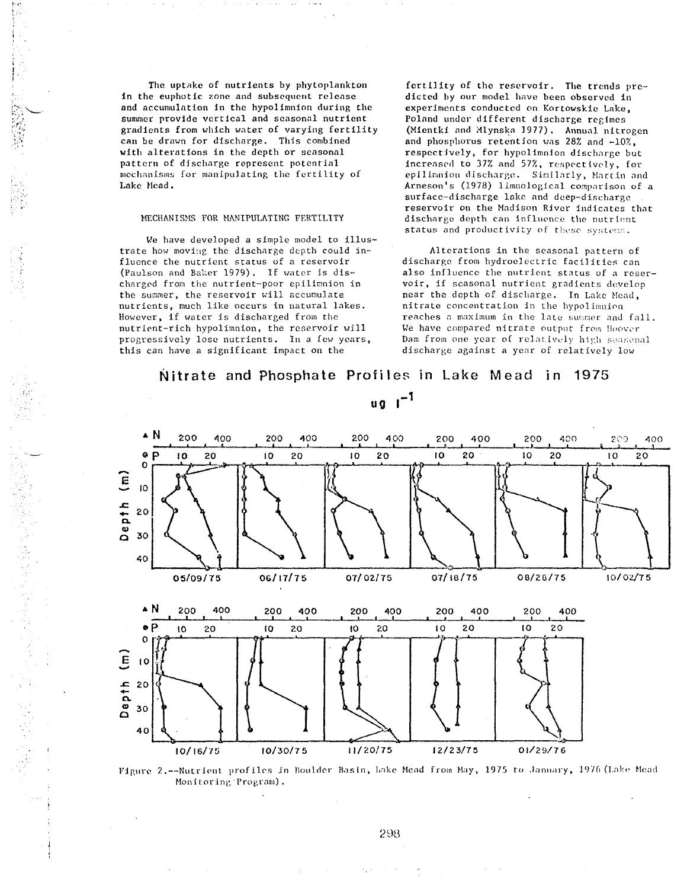The uptake of nutrients by phytoplankton in the euphotic zone and subsequent release and accumulation in the hypolimnion during the summer provide vertical and seasonal nutrient gradients from which water of varying fertility can be drawn for discharge. This combined with alterations in the depth or seasonal pattern of discharge represent potential mechanisms for manipulating the fertility of Lake Mead.

### MECHANISMS FOR MANIPULATING FERTILITY

We have developed a simple model to illustrate how moving the discharge depth could in fluence the nutrient status of a reservoir (Paulson and Bal;er 1979). If water is dis charged from the nutrient-poor epilimnion in the summer, the reservoir will accumulate nutrients, much like occurs in natural lakes. However, if water is discharged from the nutrient-rich hypolimnion, the reservoir will progressively lose nutrients. In a few years, this can have a significant impact on the

また、このことは、このことは、このことは、このことは、このことは、このことは、このことは、このことは、このことは、このことは、このことは、このことは、このことは、このことは、このことは、このことは、こ

fertility of the reservoir. The trends pre dicted by our model have been observed in experiments conducted on Kortowskie Lake, Poland under different discharge regimes (Mientki and Mlynska 1977). Annual nitrogen and phosphorus retention was 28% and -10%, respectively, for hypolimnion discharge but increased to 37% and 57%, respectively, for epiliranion discharge. Similarly, Martin and Arneson's (1978) limnological comparison of a surface-discharge lake and deep-discharge reservoir on the Madison River indicates that discharge depth can influence the nutrient status and productivity of these systems.

Alterations in the seasonal pattern of discharge from hydroelectric facilities can also influence the nutrient status of a reser voir, if seasonal nutrient gradients develop near the depth of discharge. In Lake Mead, nitrate concentration in the hypolimnion reaches a maximum in the late summer and fall. We have compared nitrate output from Hoover Dam from one year of relatively high seasonal discharge against a year of relatively low

### Nitrate and Phosphate Profiles in Lake Mead in 1975



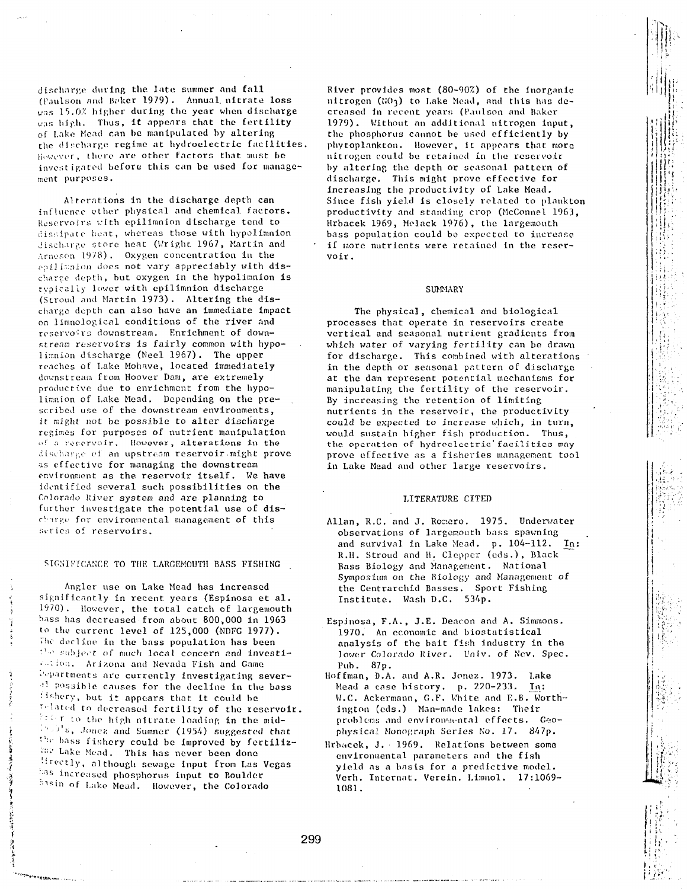discharge during the late summer and fall (Paulson and Baker 1979). Annual nitrate loss was 15.0% higher during the year when discharge was high. Thus, it appears that the fertility of Lake Mead can be manipulated by altering the discharge regime at hydroelectric facilities. However, there are other factors that must be investigated before this can be used for manage ment purposes.

Alterations in the discharge depth can influence olher physical and chemical factors. Reservoirs with epilimnion discharge tend to dissipate heat, whereas those with hypolimnion Jischarge store heat (Wright 1967, Martin and Arneson 1978) . Oxygen concentration in the epilimaion does not vary appreciably with discharze depth, but oxygen in the hypolinnion is typically lower with epilimnion discharge (Stroud and Martin 1973). Altering the dis charge depth can also have an immediate Impact on limnological conditions of the river and reservoirs downstream. Enrichment of down stream reservoirs is fairly common with hypolimnion discharge (Neel 1967). The upper reaches of Lake Mohave, located immediately downstream from Hoover Dam, are extremely productive due to enrichment from the hypo limnion of Lake Mead. Depending on the prescribed use of the downstream environments, it might not be possible to alter discharge regimes for purposes of nutrient manipulation i'f a reservoir. However, alterations In the discharge of an upstream reservoir might prove as effective for managing the downstream environment as the reservoir itself. We have identified several such possibilities on the Colorado River system and are planning to further investigate the potential use of dis charge for environmental management of this series of reservoirs.

### SIGNIFICANCE TO THE LARGEMOUTH BASS FISHING

Angler use on Lake Mead has increased significantly in recent years (Espinosa et al. 1970). However, the total catch of largemouth hass has decreased from about 800,000 in 1963 to the current level of 125,000 (NDFG 1977). The decline in the bass population has been "'e subject of much local concern and investi- $\cdots$   $\cdots$  . Arizona and Nevada Fish and Game • '• ••partraents are currently investigating sever- <sup>41</sup> possible causes for the decline in the bass fishery, but it appears that it could be related to decreased fertility of the reservoir. firier to the high nitrate loading in the mid- $\mathbb{P}^{1} \cup \mathbb{P}^{1}$ s, Jonez and Sumner (1954) suggested that the bass fishery could be improved by fertiliz- $\lim_{n \to \infty} L$ ake Mead. This has never been done lirectly, although sewage input from Las Vegas has increased phosphorus input to Boulder bisin of Lake Mead. However, the Colorado

'••"\*""»•»".."

River provides most (80-90%) of the Inorganic nitrogen ( $NO<sub>3</sub>$ ) to Lake Mead, and this has decreased in recent years (Paulson and Baker 1979). Without an additional nitrogen input, the phosphorus cannot be used efficiently by phytoplankton. However, it appears that more nitrogen could be. retained in the reservoir by altering the depth or seasonal pattern of discharge. This might prove effective for Increasing the productivity of Lake Mead. Since fish yield is closely related to plankton productivity and standing crop (McConnel 1963, Hrbacek 1969, Melack 1976), the largemouth bass population could be expected to increase if wore nutrients were retained in the reser voir .

### **SUMMARY**

The physical, chemical and biological processes that operate in reservoirs create vertical and seasonal nutrient gradients from which water of varying fertility can be drawn for discharge. This combined with alterations in the depth or seasonal pattern of discharge at the dam represent potential mechanisms for manipulating the fertility of the reservoir. By increasing the retention of limiting nutrients in the reservoir, the productivity could be expected to increase which, in turn, would sustain higher fish production. Thus, the operation of hydroelectric'facilities may prove effective as a fisheries management tool in Lake Mead and other large reservoirs.

### LITERATURE CITED

- Allan, R.C. and J. Ronero. 1975. Underwater observations of largemouth bass spawning and survival in Lake Mead. p. 104-112. In: R.H. Stroud and H. Clepper (eds.), Black Bass Biology and Management. National Symposium on the Biology and Management of the Centrarchid Basses. Sport Fishing Institute. Wash D.C. 534p.
- Espjnosa, F.A., J.E. Deacon and A. Simmons. 1970. An economic and biostatistical analysis of the bait fish industry in the lower Colorado River. Univ. of Nev. Spec. Pub. 87p.
- Hoffman, D.A. and A.R. Jonez. 1973. Lake Mead a case history, p. 220-233. In: VI.C. Ackermann, G.F. White and E.B. Worth- Ington (eds.) Man-made lakes: Their problems and environmental effects. Geophysical Monograph Series No. 17. 847p.
- Hrbacek, J. 1969. Relations between some environmental parameters and the fish yield as a basis for a predictive model. Verh. Intcrnat. Verein. Limnol. 17:1069- 1081.